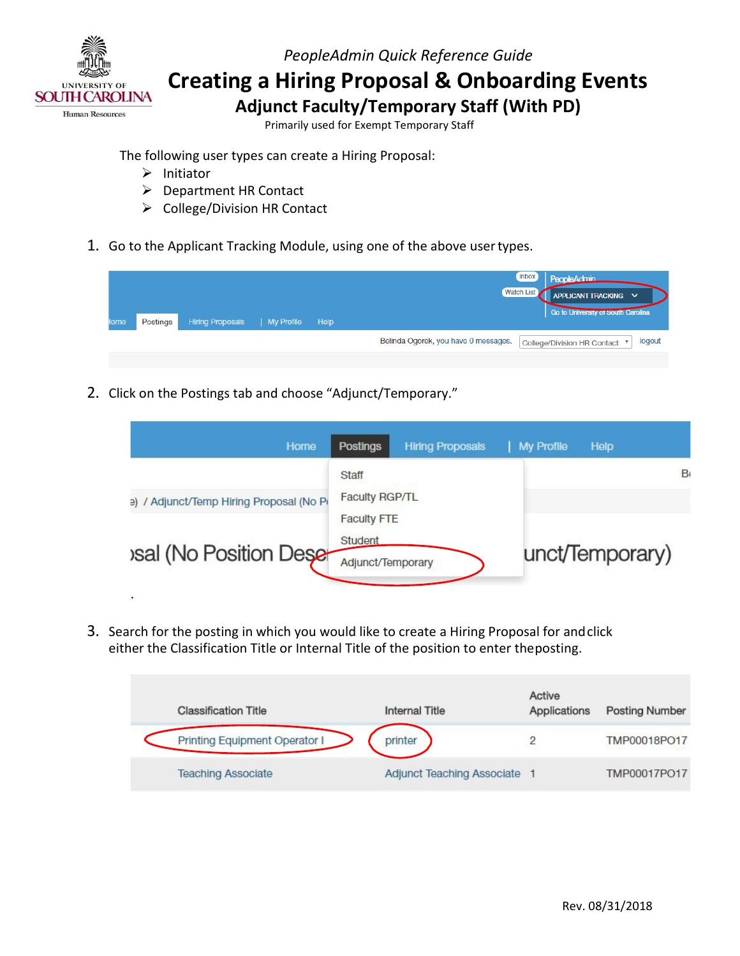

 **Creating a Hiring Proposal & Onboarding Events** 

 **Adjunct Faculty/Temporary Staff (With PD)** 

Primarily used for Exempt Temporary Staff

The following user types can create a Hiring Proposal:

- $\triangleright$  Initiator
- **▶** Department HR Contact
- $\triangleright$  College/Division HR Contact
- 1. Go to the Applicant Tracking Module, using one of the above user types.

| lome | Postings | Hiring Proposals   My Profile | Help | <b>Inbox</b><br>PeopleAdmin<br>Watch List<br>APPLICANT TRACKING V<br>Go to University or South Carolina |
|------|----------|-------------------------------|------|---------------------------------------------------------------------------------------------------------|
|      |          |                               |      | Belinda Ogorek, you have 0 messages.<br>logout<br>College/Division HR Contact ▼                         |
|      |          |                               |      |                                                                                                         |

2. Click on the Postings tab and choose "Adjunct/Temporary."

| Home                                     | <b>Postings</b><br><b>Hiring Proposals</b>         | My Profile<br><b>Help</b> |
|------------------------------------------|----------------------------------------------------|---------------------------|
| e) / Adjunct/Temp Hiring Proposal (No Pi | Staff<br><b>Faculty RGP/TL</b>                     | B                         |
| <b>Isal (No Position Dese-</b>           | <b>Faculty FTE</b><br>Student<br>Adjunct/Temporary | unct/Temporary)           |
|                                          |                                                    |                           |

 either the Classification Title or Internal Title of the position to enter theposting. 3. Search for the posting in which you would like to create a Hiring Proposal for andclick

| <b>Classification Title</b>   | Internal Title                      | Active<br>Applications | <b>Posting Number</b> |
|-------------------------------|-------------------------------------|------------------------|-----------------------|
| Printing Equipment Operator I | printer                             |                        | TMP00018PO17          |
| <b>Teaching Associate</b>     | <b>Adjunct Teaching Associate 1</b> |                        | TMP00017PO17          |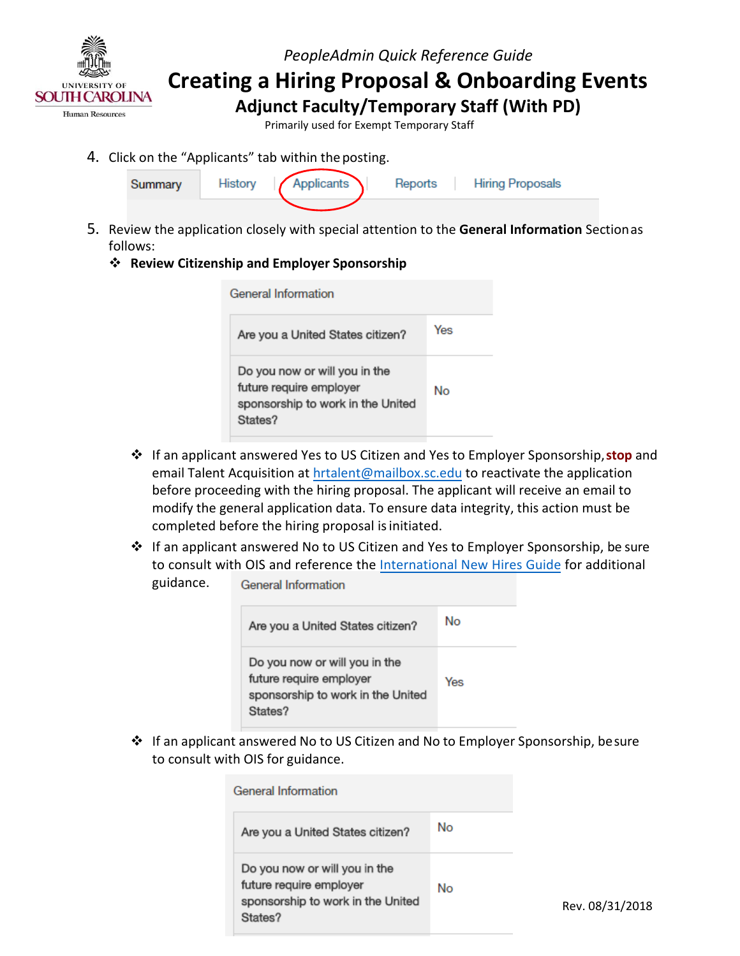

**Creating a Hiring Proposal & Onboarding Events Adjunct Faculty/Temporary Staff (With PD)** 

Primarily used for Exempt Temporary Staff

4. Click on the "Applicants" tab within the posting.



- 5. Review the application closely with special attention to the **General Information** Sectionas follows:
	- **Review Citizenship and Employer Sponsorship**

| General Information                                                                                      |     |  |  |  |
|----------------------------------------------------------------------------------------------------------|-----|--|--|--|
| Are you a United States citizen?                                                                         | Yes |  |  |  |
| Do you now or will you in the<br>future require employer<br>sponsorship to work in the United<br>States? | No  |  |  |  |

- If an applicant answered Yes to US Citizen and Yes to Employer Sponsorship,**stop** and email Talent Acquisition a[t hrtalent@mailbox.sc.edu t](mailto:hrtalent@mailbox.sc.edu)o reactivate the application before proceeding with the hiring proposal. The applicant will receive an email to modify the general application data. To ensure data integrity, this action must be completed before the hiring proposal is initiated.
- If an applicant answered No to US Citizen and Yes to Employer Sponsorship, be sure to consult with OIS and reference th[e International New Hires Guide f](http://www.sc.edu/about/offices_and_divisions/human_resources/docs/pa_international_new_hires.pdf)or additional guidance. **General Information**

| Are you a United States citizen?                                                                         | No  |
|----------------------------------------------------------------------------------------------------------|-----|
| Do you now or will you in the<br>future require employer<br>sponsorship to work in the United<br>States? | Yes |

 If an applicant answered No to US Citizen and No to Employer Sponsorship, besure to consult with OIS for guidance.

| General Information.                                                                                     |    |      |
|----------------------------------------------------------------------------------------------------------|----|------|
| Are you a United States citizen?                                                                         | No |      |
| Do you now or will you in the<br>future require employer<br>sponsorship to work in the United<br>States? | No | Rev. |

08/31/2018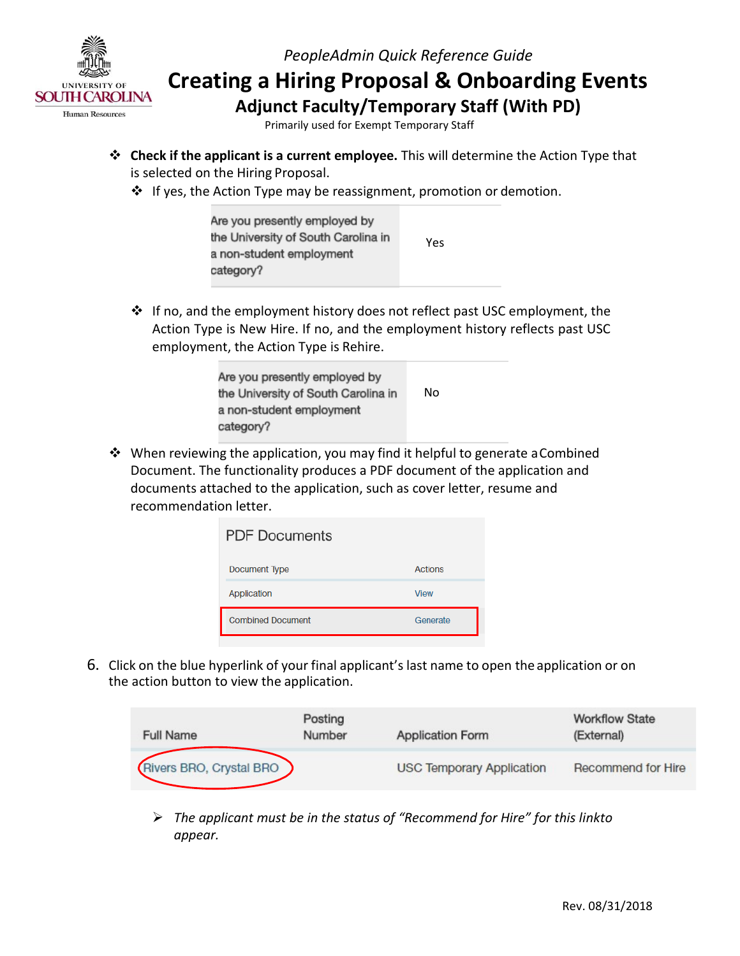

 **Creating a Hiring Proposal & Onboarding Events Adjunct Faculty/Temporary Staff (With PD)** 

Primarily used for Exempt Temporary Staff

- is selected on the Hiring Proposal. **Check if the applicant is a current employee.** This will determine the Action Type that
	- ❖ If yes, the Action Type may be reassignment, promotion or demotion.

| Are you presently employed by<br>the University of South Carolina in | Yes |
|----------------------------------------------------------------------|-----|
| a non-student employment<br>category?                                |     |

 If no, and the employment history does not reflect past USC employment, the Action Type is New Hire. If no, and the employment history reflects past USC employment, the Action Type is Rehire.

| Are you presently employed by<br>the University of South Carolina in | No |
|----------------------------------------------------------------------|----|
| a non-student employment                                             |    |
| category?                                                            |    |

 When reviewing the application, you may find it helpful to generate aCombined documents attached to the application, such as cover letter, resume and recommendation letter. Document. The functionality produces a PDF document of the application and

| <b>PDF Documents</b>     |             |  |  |  |  |
|--------------------------|-------------|--|--|--|--|
| Document Type            | Actions     |  |  |  |  |
| Application              | <b>View</b> |  |  |  |  |
| <b>Combined Document</b> | Generate    |  |  |  |  |

 6. Click on the blue hyperlink of your final applicant's last name to open the application or on the action button to view the application.

| <b>Full Name</b>        | Posting<br>Number | <b>Application Form</b>          | <b>Workflow State</b><br>(External) |
|-------------------------|-------------------|----------------------------------|-------------------------------------|
| Rivers BRO, Crystal BRO |                   | <b>USC Temporary Application</b> | Recommend for Hire                  |

 *The applicant must be in the status of "Recommend for Hire" for this linkto appear.*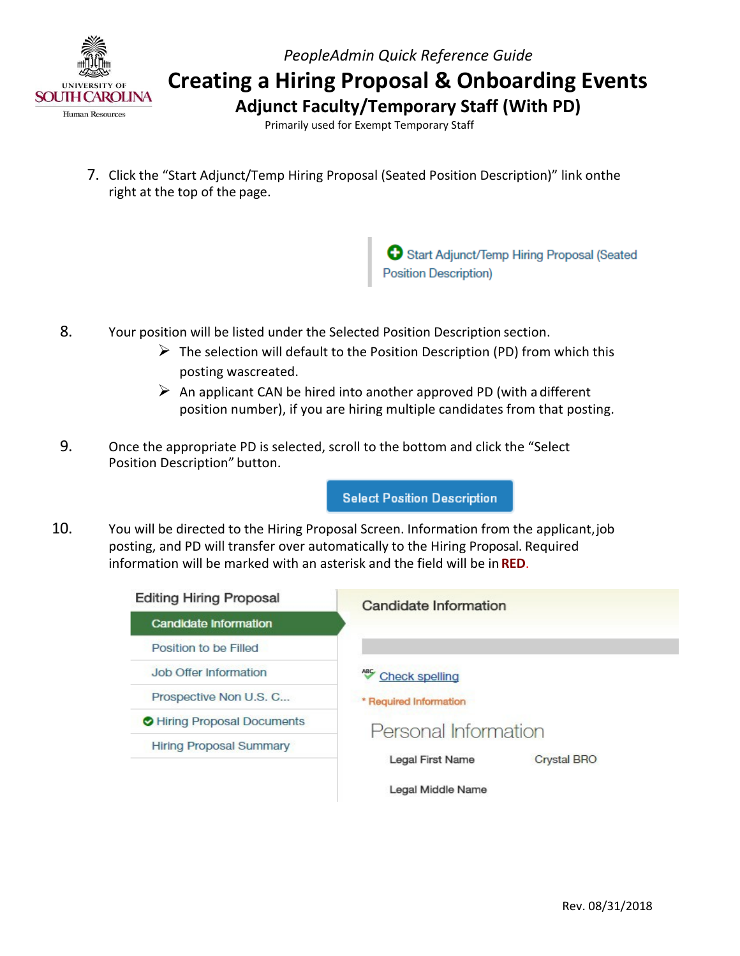

 **Creating a Hiring Proposal & Onboarding Events** 

 **Adjunct Faculty/Temporary Staff (With PD)** 

Primarily used for Exempt Temporary Staff

 right at the top of the page. 7. Click the "Start Adjunct/Temp Hiring Proposal (Seated Position Description)" link onthe

Start Adjunct/Temp Hiring Proposal (Seated<br>Position Description)

- 8. Your position will be listed under the Selected Position Description section.
	- $\triangleright$  The selection will default to the Position Description (PD) from which this posting wascreated.
	- $\triangleright$  An applicant CAN be hired into another approved PD (with a different position number), if you are hiring multiple candidates from that posting.
- 9. Once the appropriate PD is selected, scroll to the bottom and click the "Select Position Description" button.

**Select Position Description** 

 10. You will be directed to the Hiring Proposal Screen. Information from the applicant,job information will be marked with an asterisk and the field will be in **RED**. posting, and PD will transfer over automatically to the Hiring Proposal. Required

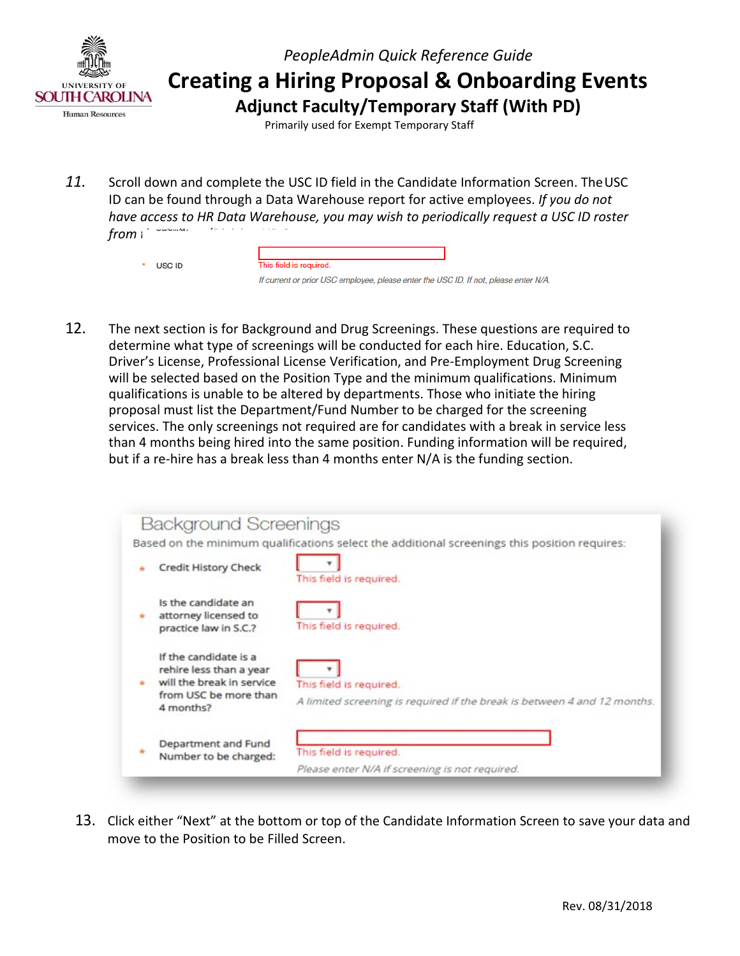

Primarily used for Exempt Temporary Staff

*11.* Scroll down and complete the USC ID field in the Candidate Information Screen. TheUSC ID can be found through a Data Warehouse report for active employees. *If you do not have access to HR Data Warehouse, you may wish to periodically request a USC ID roster from* i

This field is required.

```
* USC ID
```
If current or prior USC employee, please enter the USC ID. If not, please enter N/A.

 Driver's License, Professional License Verification, and Pre-Employment Drug Screening qualifications is unable to be altered by departments. Those who initiate the hiring proposal must list the Department/Fund Number to be charged for the screening than 4 months being hired into the same position. Funding information will be required, but if a re-hire has a break less than 4 months enter N/A is the funding section. 12. The next section is for Background and Drug Screenings. These questions are required to determine what type of screenings will be conducted for each hire. Education, S.C. will be selected based on the Position Type and the minimum qualifications. Minimum services. The only screenings not required are for candidates with a break in service less

| <b>Background Screenings</b>                                                                                        |                                                                                                     |
|---------------------------------------------------------------------------------------------------------------------|-----------------------------------------------------------------------------------------------------|
|                                                                                                                     | Based on the minimum qualifications select the additional screenings this position requires:        |
| <b>Credit History Check</b>                                                                                         | This field is required.                                                                             |
| Is the candidate an<br>attorney licensed to<br>practice law in S.C.?                                                | This field is required.                                                                             |
| If the candidate is a<br>rehire less than a year<br>will the break in service<br>from USC be more than<br>4 months? | This field is required.<br>A limited screening is required if the break is between 4 and 12 months. |
| Department and Fund<br>Number to be charged:                                                                        | This field is required.<br>Please enter N/A if screening is not required.                           |

13. Click either "Next" at the bottom or top of the Candidate Information Screen to save your data and move to the Position to be Filled Screen.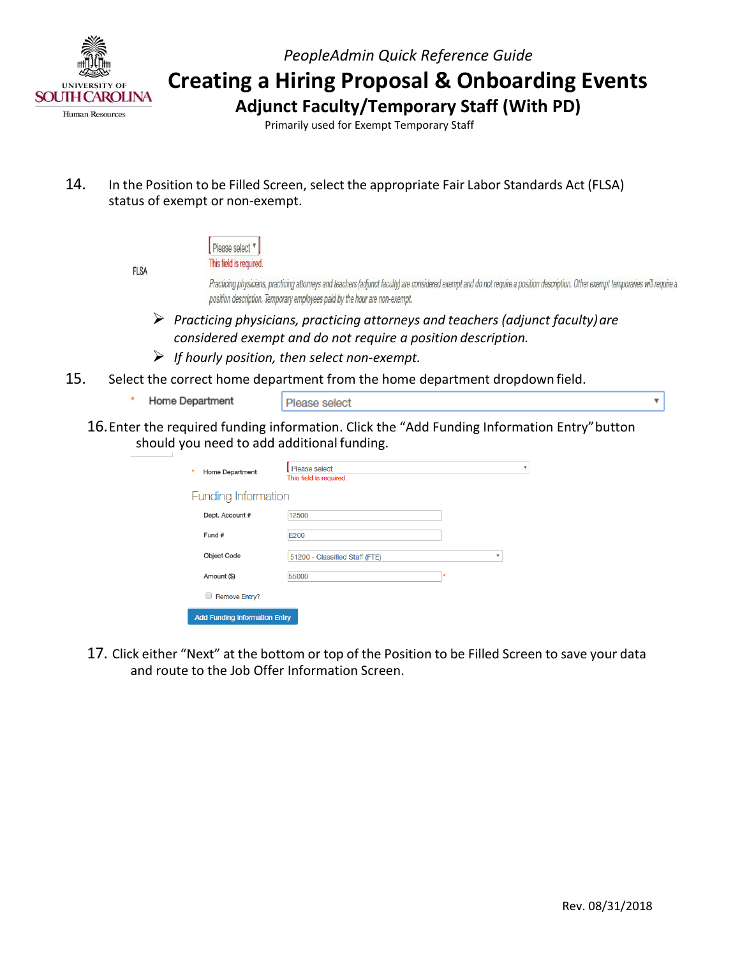

 **Creating a Hiring Proposal & Onboarding Events** 

 **Adjunct Faculty/Temporary Staff (With PD)** 

Primarily used for Exempt Temporary Staff

- 14. In the Position to be Filled Screen, select the appropriate Fair Labor Standards Act (FLSA) status of exempt or non-exempt.
- Please select v This field is required. **FLSA** Practicing physicians, practicing attorneys and teachers (adjunct faculty) are considered exempt and do not require a position description. Other exempt temporaries will require a position description. Temporary employees paid by the hour are non-exempt.  *Practicing physicians, practicing attorneys and teachers (adjunct faculty)are considered exempt and do not require a position description. If hourly position, then select non-exempt.* 15. Select the correct home department from the home department dropdown field.
	- Home Department
- Please select

 $\overline{\mathbf{v}}$ 

16.Enter the required funding information. Click the "Add Funding Information Entry"button should you need to add additional funding.

| ٠<br>Home Department                 | Please select<br>This field is required. |   | $\overline{\mathbf{v}}$ |  |  |
|--------------------------------------|------------------------------------------|---|-------------------------|--|--|
| Funding Information                  |                                          |   |                         |  |  |
| Dept. Account #                      | 12500                                    |   |                         |  |  |
| Fund #                               | E200                                     |   |                         |  |  |
| Object Code                          | 51200 - Classified Staff (FTE)           | v |                         |  |  |
| Amount (\$)                          | 55000                                    | ۰ |                         |  |  |
| <b>Remove Entry?</b>                 |                                          |   |                         |  |  |
| <b>Add Funding Information Entry</b> |                                          |   |                         |  |  |

 17. Click either "Next" at the bottom or top of the Position to be Filled Screen to save your data and route to the Job Offer Information Screen.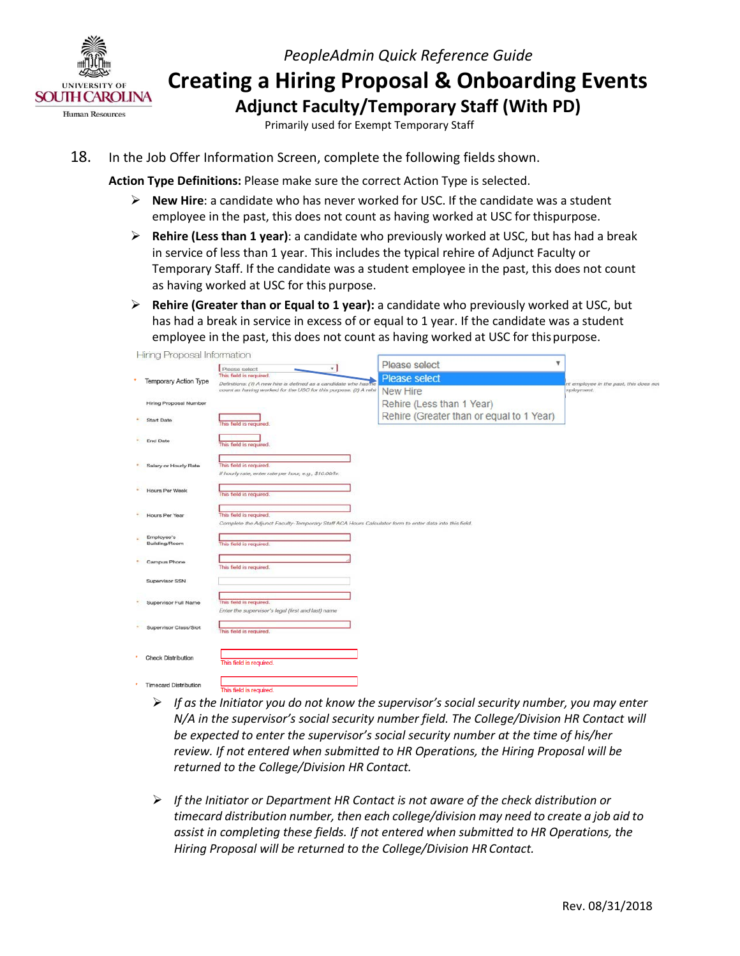

 **Creating a Hiring Proposal & Onboarding Events Adjunct Faculty/Temporary Staff (With PD)** 

Primarily used for Exempt Temporary Staff

18. In the Job Offer Information Screen, complete the following fields shown.

**Action Type Definitions:** Please make sure the correct Action Type is selected.

- **New Hire**: a candidate who has never worked for USC. If the candidate was a student employee in the past, this does not count as having worked at USC for thispurpose.
- **Rehire (Less than 1 year)**: a candidate who previously worked at USC, but has had a break in service of less than 1 year. This includes the typical rehire of Adjunct Faculty or as having worked at USC for this purpose. Temporary Staff. If the candidate was a student employee in the past, this does not count
- employee in the past, this does not count as having worked at USC for this purpose. **Rehire (Greater than or Equal to 1 year):** a candidate who previously worked at USC, but has had a break in service in excess of or equal to 1 year. If the candidate was a student

| Hing Proposal information     |                                                                                                                                  |                                          |                                        |  |
|-------------------------------|----------------------------------------------------------------------------------------------------------------------------------|------------------------------------------|----------------------------------------|--|
|                               | $\mathbf{r}$<br>Please select                                                                                                    | Please select                            | v                                      |  |
| Temporary Action Type         | This field is required.<br>Definitions: (1) A new hire is defined as a candidate who has ne                                      | <b>Please select</b>                     | nt employee in the past, this does not |  |
|                               | count as having worked for the USC for this purpose. (2) A rehin                                                                 | <b>New Hire</b>                          | mployment.                             |  |
| <b>Hiring Proposal Number</b> |                                                                                                                                  | Rehire (Less than 1 Year)                |                                        |  |
| Start Date                    | This field is required.                                                                                                          | Rehire (Greater than or equal to 1 Year) |                                        |  |
| End Date                      | This field is required.                                                                                                          |                                          |                                        |  |
| Salary or Hourly Rate         | This field is required.<br>If hourly rate, enter rate per hour, e.g., \$10.00/hr.                                                |                                          |                                        |  |
| Hours Per Week                | This field is required.                                                                                                          |                                          |                                        |  |
| <b>Hours Per Year</b>         | This field is required.<br>Complete the Adjunct Faculty-Temporary Staff ACA Hours Calculator form to enter data into this field. |                                          |                                        |  |
| Employee's<br>Building/Room   | This field is required.                                                                                                          |                                          |                                        |  |
| Campus Phone                  | This field is required.                                                                                                          |                                          |                                        |  |
| Supervisor SSN                |                                                                                                                                  |                                          |                                        |  |
| Supervisor Full Name          | This field is required.<br>Enter the supervisor's legal (first and last) name                                                    |                                          |                                        |  |
| Supervisor Class/Slot         | This field is required.                                                                                                          |                                          |                                        |  |
| <b>Check Distribution</b>     | This field is required.                                                                                                          |                                          |                                        |  |
| <b>Timecard Distribution</b>  | This field is required.                                                                                                          |                                          |                                        |  |

- *If as the Initiator you do not know the supervisor's social security number, you may enter review. If not entered when submitted to HR Operations, the Hiring Proposal will be returned to the College/Division HR Contact. N/A in the supervisor's social security number field. The College/Division HR Contact will be expected to enter the supervisor's social security number at the time of his/her*
- *timecard distribution number, then each college/division may need to create a job aid to Hiring Proposal will be returned to the College/Division HR Contact. If the Initiator or Department HR Contact is not aware of the check distribution or assist in completing these fields. If not entered when submitted to HR Operations, the*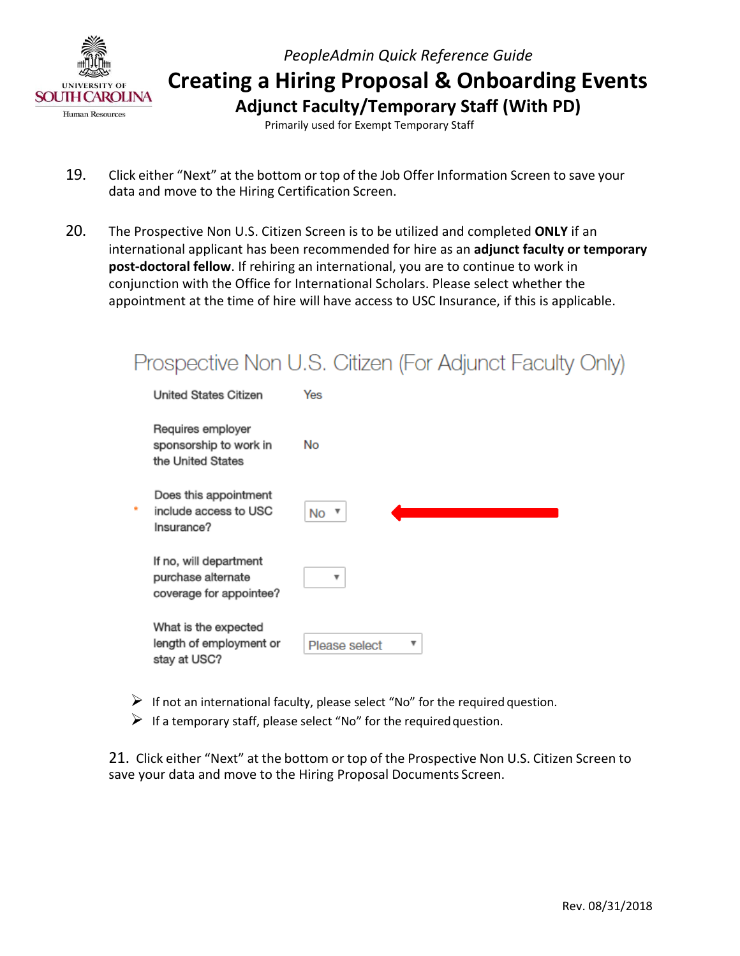

Primarily used for Exempt Temporary Staff

- 19. Click either "Next" at the bottom or top of the Job Offer Information Screen to save your data and move to the Hiring Certification Screen.
- 20. The Prospective Non U.S. Citizen Screen is to be utilized and completed **ONLY** if an international applicant has been recommended for hire as an **adjunct faculty or temporary post-doctoral fellow**. If rehiring an international, you are to continue to work in conjunction with the Office for International Scholars. Please select whether the appointment at the time of hire will have access to USC Insurance, if this is applicable.

|                                                                         | Prospective Non U.S. Citizen (For Adjunct Faculty Only) |
|-------------------------------------------------------------------------|---------------------------------------------------------|
| United States Citizen                                                   | Yes                                                     |
| Requires employer<br>sponsorship to work in<br>the United States        | No                                                      |
| Does this appointment<br>include access to USC<br>Insurance?            | $No$ $\overline{ }$                                     |
| If no, will department<br>purchase alternate<br>coverage for appointee? | v                                                       |
| What is the expected<br>length of employment or<br>stay at USC?         | v<br>Please select                                      |

- $\triangleright$  If not an international faculty, please select "No" for the required question.
- $\triangleright$  If a temporary staff, please select "No" for the required question.

 21. Click either "Next" at the bottom or top of the Prospective Non U.S. Citizen Screen to save your data and move to the Hiring Proposal Documents Screen.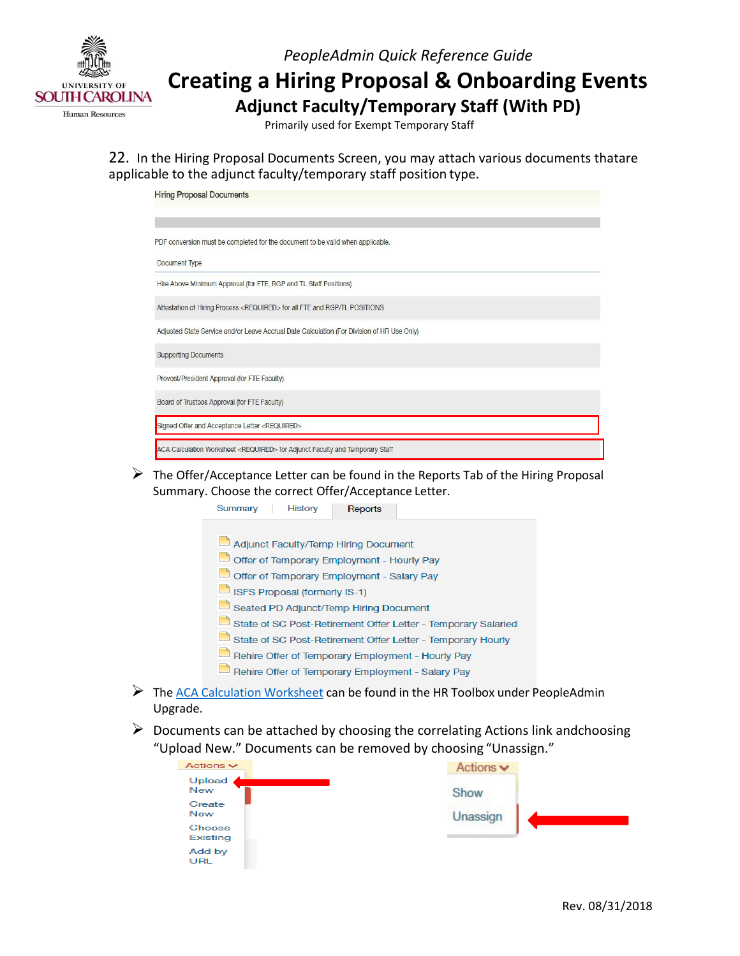

## **Creating a Hiring Proposal & Onboarding Events Adjunct Faculty/Temporary Staff (With PD)**

Primarily used for Exempt Temporary Staff

 applicable to the adjunct faculty/temporary staff position type. 22. In the Hiring Proposal Documents Screen, you may attach various documents thatare

| <b>Hiring Proposal Documents</b>                                                           |  |  |  |  |
|--------------------------------------------------------------------------------------------|--|--|--|--|
| PDF conversion must be completed for the document to be valid when applicable.             |  |  |  |  |
| Document Type                                                                              |  |  |  |  |
| Hire Above Minimum Approval (for FTE, RGP and TL Staff Positions)                          |  |  |  |  |
| Attestation of Hiring Process <required> for all FTE and RGP/TL POSITIONS</required>       |  |  |  |  |
| Adjusted State Service and/or Leave Accrual Date Calculation (For Division of HR Use Only) |  |  |  |  |
| <b>Supporting Documents</b>                                                                |  |  |  |  |
| Provost/President Approval (for FTE Faculty)                                               |  |  |  |  |
| Board of Trustees Approval (for FTE Faculty)                                               |  |  |  |  |
| Signed Offer and Acceptance Letter <required></required>                                   |  |  |  |  |
| ACA Calculation Worksheet <required> for Adjunct Faculty and Temporary Staff</required>    |  |  |  |  |

 Summary. Choose the correct Offer/Acceptance Letter.  $\triangleright$  The Offer/Acceptance Letter can be found in the Reports Tab of the Hiring Proposal



- ▶ Th[e ACA Calculation Worksheet c](http://www.sc.edu/about/offices_and_divisions/human_resources/docs/pa_aca_calculation_worksheet.pdf)an be found in the HR Toolbox under PeopleAdmin Upgrade.
- "Upload New." Documents can be removed by choosing "Unassign."  $\triangleright$  Documents can be attached by choosing the correlating Actions link andchoosing

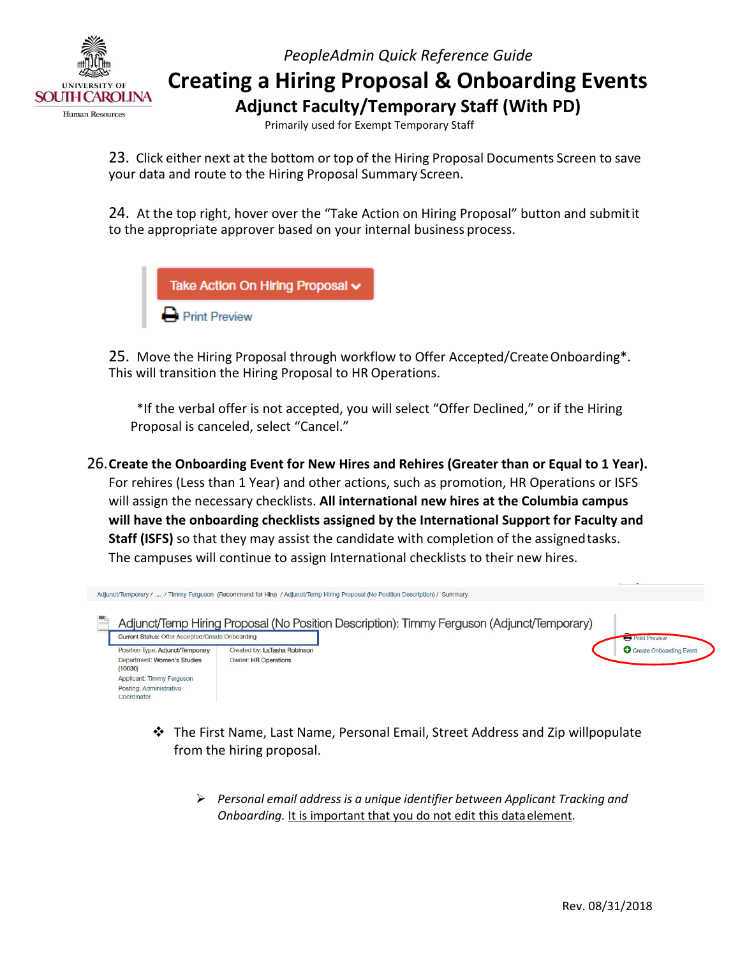

Primarily used for Exempt Temporary Staff

 23. Click either next at the bottom or top of the Hiring Proposal Documents Screen to save your data and route to the Hiring Proposal Summary Screen.

24. At the top right, hover over the "Take Action on Hiring Proposal" button and submitit to the appropriate approver based on your internal business process.



25. Move the Hiring Proposal through workflow to Offer Accepted/CreateOnboarding\*. This will transition the Hiring Proposal to HR Operations.

 \*If the verbal offer is not accepted, you will select "Offer Declined," or if the Hiring Proposal is canceled, select "Cancel."

 For rehires (Less than 1 Year) and other actions, such as promotion, HR Operations or ISFS  **Staff (ISFS)** so that they may assist the candidate with completion of the assignedtasks. The campuses will continue to assign International checklists to their new hires. 26.**Create the Onboarding Event for New Hires and Rehires (Greater than or Equal to 1 Year).** will assign the necessary checklists. **All international new hires at the Columbia campus will have the onboarding checklists assigned by the International Support for Faculty and**



- from the hiring proposal.  $\cdot \cdot$  The First Name, Last Name, Personal Email, Street Address and Zip willpopulate
	- *Personal email address is a unique identifier between Applicant Tracking and* Onboarding. It is important that you do not edit this data element.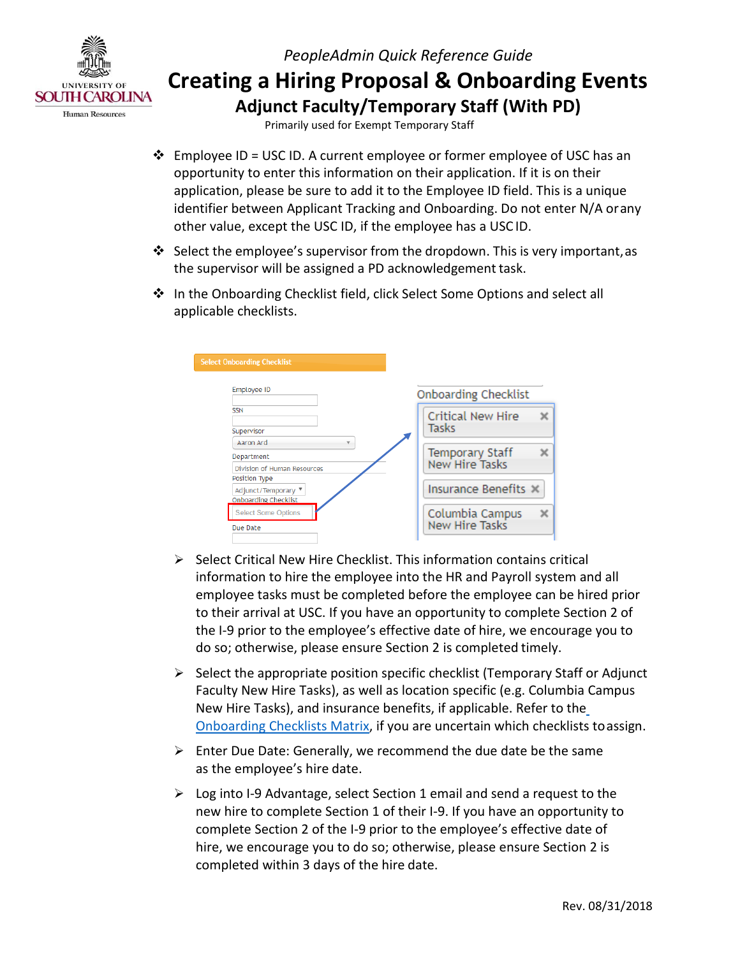

Primarily used for Exempt Temporary Staff

- Employee ID = USC ID. A current employee or former employee of USC has an identifier between Applicant Tracking and Onboarding. Do not enter N/A orany other value, except the USC ID, if the employee has a USC ID. opportunity to enter this information on their application. If it is on their application, please be sure to add it to the Employee ID field. This is a unique
- $\clubsuit$  Select the employee's supervisor from the dropdown. This is very important, as the supervisor will be assigned a PD acknowledgement task.
- applicable checklists. In the Onboarding Checklist field, click Select Some Options and select all

| <b>Select Onboarding Checklist</b>   |                                   |  |
|--------------------------------------|-----------------------------------|--|
|                                      |                                   |  |
| Employee ID                          | <b>Onboarding Checklist</b>       |  |
| <b>SSN</b>                           | <b>Critical New Hire</b>          |  |
| Supervisor                           | Tasks                             |  |
| Aaron Ard<br>$\overline{\mathbf{v}}$ |                                   |  |
| Department                           | Temporary Staff                   |  |
| Division of Human Resources          | New Hire Tasks                    |  |
| Position Type                        |                                   |  |
| Adjunct/Temporary ▼                  | Insurance Benefits X              |  |
| <b>Onboarding Checklist</b>          |                                   |  |
| <b>Select Some Options</b>           | Columbia Campus<br>New Hire Tasks |  |
| Due Date                             |                                   |  |
|                                      |                                   |  |

- information to hire the employee into the HR and Payroll system and all employee tasks must be completed before the employee can be hired prior to their arrival at USC. If you have an opportunity to complete Section 2 of the I-9 prior to the employee's effective date of hire, we encourage you to do so; otherwise, please ensure Section 2 is completed timely.  $\triangleright$  Select Critical New Hire Checklist. This information contains critical
- $\triangleright$  Select the appropriate position specific checklist (Temporary Staff or Adjunct [Onboarding Checklists Matrix, i](http://www.sc.edu/about/offices_and_divisions/human_resources/docs/pa_onboarding_checklists_matrix.pdf)f you are uncertain which checklists toassign. Faculty New Hire Tasks), as well as location specific (e.g. Columbia Campus New Hire Tasks), and insurance benefits, if applicable. Refer to th[e](http://www.sc.edu/about/offices_and_divisions/human_resources/docs/pa_onboarding_checklists_matrix.pdf)
- as the employee's hire date.  $\triangleright$  Enter Due Date: Generally, we recommend the due date be the same
- new hire to complete Section 1 of their I-9. If you have an opportunity to completed within 3 days of the hire date.  $\triangleright$  Log into I-9 Advantage, select Section 1 email and send a request to the complete Section 2 of the I-9 prior to the employee's effective date of hire, we encourage you to do so; otherwise, please ensure Section 2 is